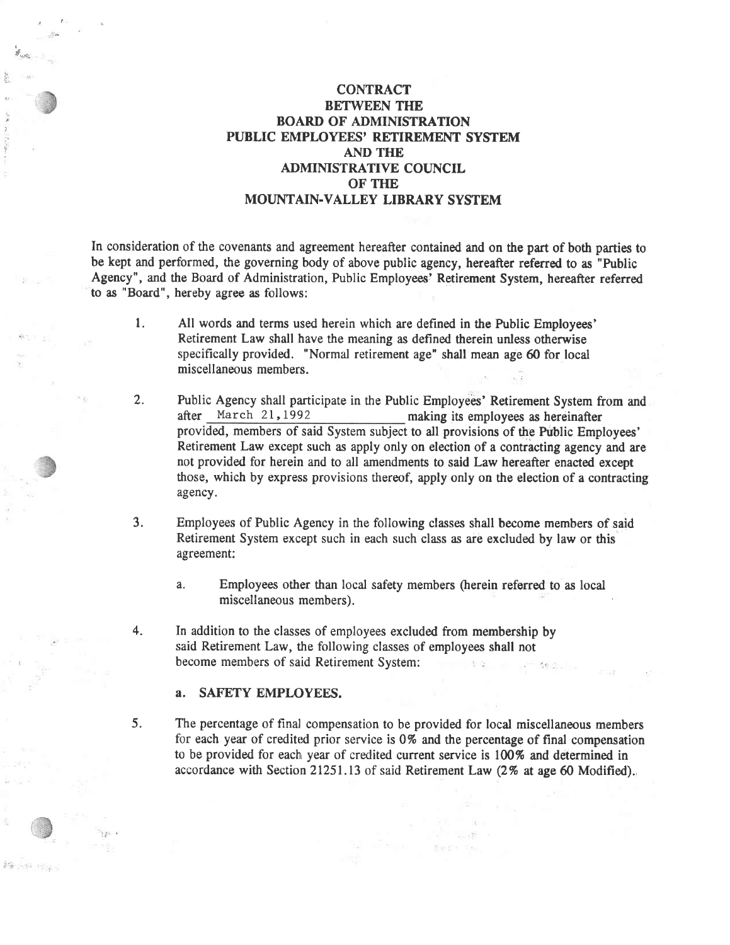# **CONTRACT** BETWEEN TIIE BOARD OF ADMIMSTRATION PUBLIC EMPLOYEES' RETIREMENT SYSTEM **AND THE** ADMINISTRATIVE COUNCIL OF THE MOUNTAIN-VALLEY LIBRARY SYSTEM

In consideration of the covenants and agreement hereafter contained and on the part of both parties to be kept and performed, the governing body of above public agency, hereafter referred to as "Public Agency", and the Board of Administration, Public Employees' Retirement System, hereafter referred to as "Board", hereby agree as follows:

- 1. All words and terms used herein which are defined in the Public Employees' Retirement Law shall have the meaning as defined therein unless otherwise specifically provided. "Normal retirement age" shall mean age 60 for local miscellaneous members
- 2. Public Agency shall participate in the Public Employees' Retirement System from and after March 21, 1992 making its employees as hereinafter making its employees as hereinafter provided, members of said System subject to all provisions of the Public Employees' Retirement Law except such as apply only on election of a contracting agency and are not provided for herein and to all amendments to said Law hereafter enacted except those, which by express provisions thereof, apply only on the election of a contracting agency.
- 3. Employees of Public Agency in the following classes shall become members of said Retirement System except such in each such class as are excluded by law or this agreement:
	- a, Employees other than local safety members (herein referred to as local miscellaneous members).
- 4. In addition to the classes of employees excluded from membership by said Retirement Law, the following classes of employees shall not become members of said Retirement System:

### a. SAFETY EMPLOYEES.

 $\mathbf{F}_{\text{adv}}$ 

it on a

t"

5. The percentage of final compensation to be provided for local miscellaneous members for each year of credited prior service is 0% and the percentage of final compensation to be provided for each year of credited current service is 100% and determined in accordance with Section 21251.13 of said Retirement Law (2% at age 60 Modified).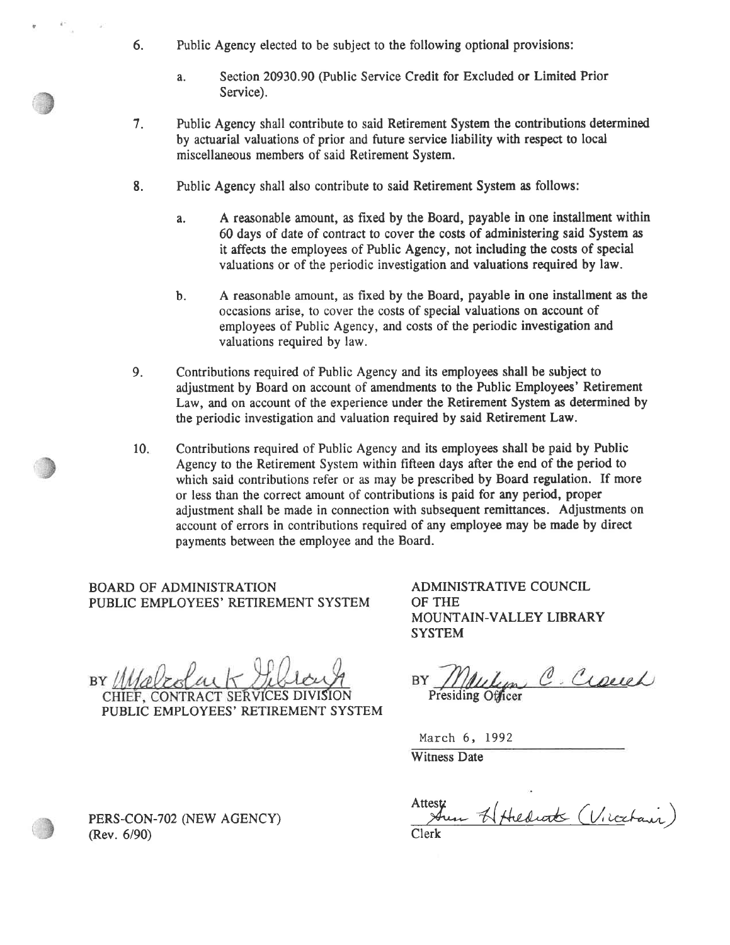- 6. Public Agency elected to be subject to the following optional provisions:
	- a. Section 20930.90 (Public Service Credit for Excluded or Limited Prior Service).
- Public Agency shall contribute to said Retirement System the contributions determined by actuarial valuations of prior and future service liability with respect to local miscellaneous members of said Retirement System. 7.
- Public Agency shall also contribute to said Retirement System as follows: 8.
	- a. A reasonable amount, as fixed by the Boud, payable in one installment within 60 days of date of contract to cover the costs of administering said System as it affects the employees of Public Agency, not including the costs of special valuations or of the periodic investigation and valuations required by law.
	- b. A reasonable amount, as fixed by the Board, payable in one installment as the occasions arise, to cover the costs of special valuations on account of employees of Public Agency, and costs of the periodic investigation and valuations required by law.
- Contributions required of Public Agency and is employees shall be subject to adjustment by Board on account of amendments to the Public Employees' Retirement Law, and on account of the experience under the Retirement System as determined by the periodic investigation and valuation required by said Retirement Law. 9.
- Contributions required of Public Agency and its employees shall be paid by Public Agency to the Retirement System within fifteen days after the end of the period to which said contributions refer or as may be prescribed by Board regulation. If more or less than the correct amount of contributions is paid for any period, proper adjustment shall be made in connection with subsequent remittances. Adjustments on account of errors in contributions required of any employee may be made by direct payments between the employee and the Board.  $10<sub>1</sub>$

BOARD OF ADMINISTRATION PUBLIC EMPLOYEES' RETIREMENT SYSTEM

PUBLIC EMPLOYEES' RETIREMENT SYSTEM

ADMINISTRATIVE COUNCIL OF THE MOUNTAIN-VALLEY LIBRARY **SYSTEM** 

William C. Crouch BY

March 6, <sup>1992</sup>

Witness Date

Attesti<br>Aun H Hiedrott (Vicchaur) Clerk

PERS-CON-702 (NEW AGENCY) (Rev. 6/90)

CHIEF, CONTRACT SERVICES

 $BY/4$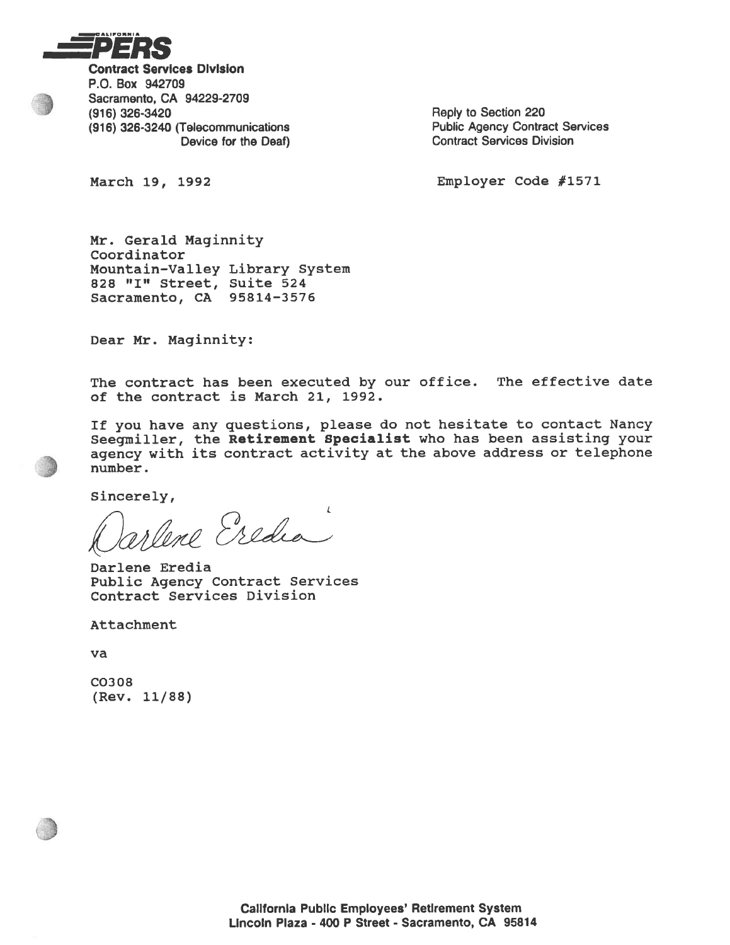

Contract Servlces Dlvlslon P.O. Box 942709 Sacramento, CA 94229-2709 (916) 326-3420<br>
(916) 326-3240 (Telecommunications<br>
(916) 326-3240 (Telecommunications<br>
Reply to Section 220 (916) 326-3240 (Telecommunications<br>Device for the Deaf)

**Contract Services Division** 

March 19, 1992 **Employer Code #1571** 

Mr. Gerald Maginnity Coordinator Mountain-Val1ey Library Systern 828 "I" Street, Suite 524 Sacramento, CA 95814-3575

Dear Mr. Maginnity:

The contract has been executed by our office. The effective date of the contract is March 21, 1992.

If you have any questions, please do not hesitate to contact Nancy Seegmiller, the Retirement Specialist who has been assisting your agency with its contract activity at the above address or telephone number.

Sincerely,

Oarlene Eredi r

Darlene Eredia Public Agency Contract Services Contract Services Division

Attachment

va

co308 (Rev. 11/88)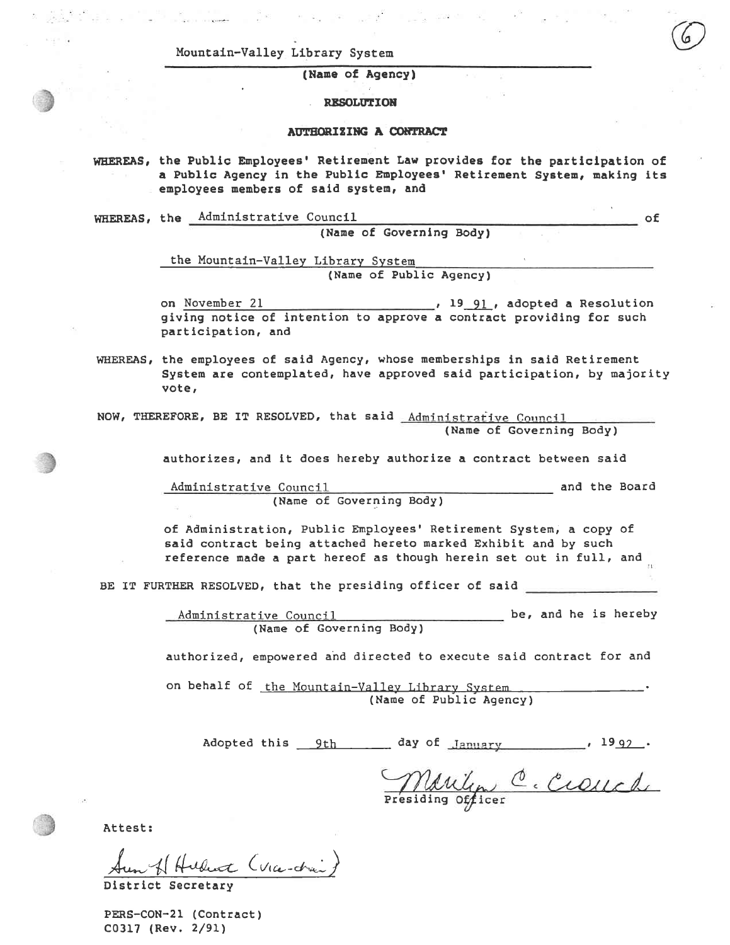Mountain-Valley Library System

(Name of Agency)

**RESOLUTION** 

#### **AUTHORIZING A CONTRACT**

WHEREAS, the Public Employees' Retirement Law provides for the participation of a Public Agency in the Public Employees' Retirement System, making its employees members of said system, and

WHEREAS, the Administrative Council

(Name of Governing Body)

the Mountain-Valley Library System (Name of Public Agency)

on November 21  $\frac{19-91}{2}$ , adopted a Resolution giving notice of intention to approve a contract providing for such participation, and

WHEREAS, the employees of said Agency, whose memberships in said Retirement System are contemplated, have approved said participation, by majority vote,

NOW, THEREFORE, BE IT RESOLVED, that said Administrative Council (Name of Governing Body)

authorizes, and it does hereby authorize a contract between said

and the Board Administrative Council (Name of Governing Body)

of Administration, Public Employees' Retirement System, a copy of said contract being attached hereto marked Exhibit and by such reference made a part hereof as though herein set out in full, and

BE IT FURTHER RESOLVED, that the presiding officer of said

be, and he is hereby Administrative Council (Name of Governing Body)

authorized, empowered and directed to execute said contract for and

on behalf of the Mountain-Valley Library System (Name of Public Agency)

Adopted this 9th day of January 1992.

Marilyn C. Crouch

 $_{\sim}$  of

Attest:

Hubert (Via-drai)

PERS-CON-21 (Contract) C0317 (Rev. 2/91)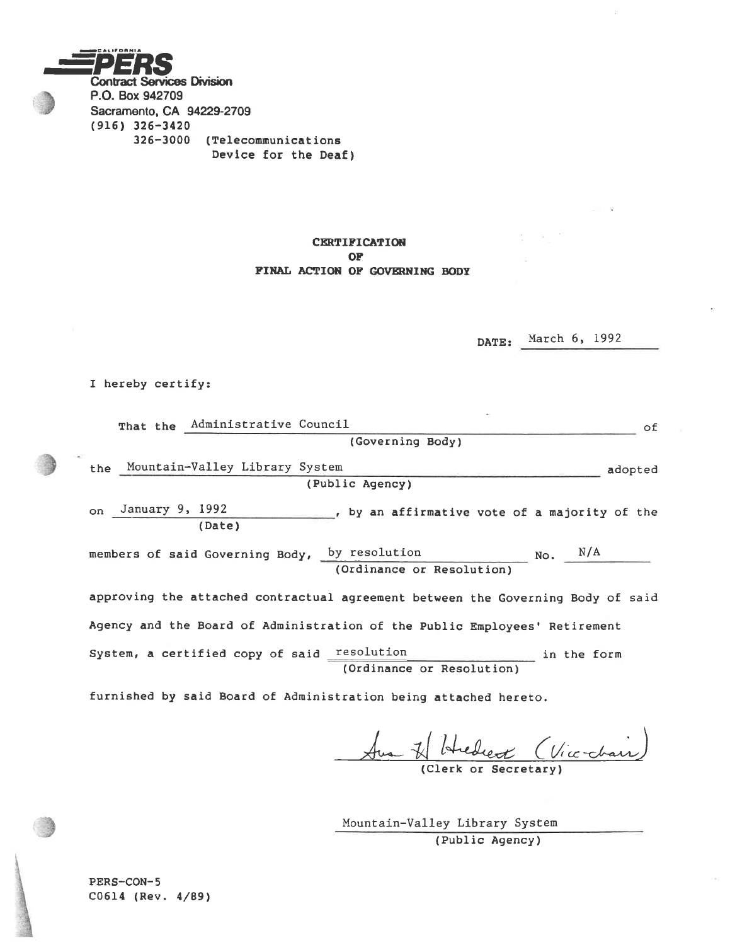

## **CERTIFICATION**  $OF$ FINAL ACTION OF GOVERNING BODY

DATE: March 6, 1992

I hereby certify:

| That the Administrative Council<br>of.                                                    |
|-------------------------------------------------------------------------------------------|
| (Governing Body)                                                                          |
| the Mountain-Valley Library System<br>adopted<br>(Public Agency)                          |
| on January 9, 1992<br>, by an affirmative vote of a majority of the<br>(Date)             |
| $NO.$ $N/A$<br>members of said Governing Body, by resolution<br>(Ordinance or Resolution) |
| approving the attached contractual agreement between the Governing Body of said           |
| Agency and the Board of Administration of the Public Employees' Retirement                |
| System, a certified copy of said resolution<br>in the form<br>(Ordinance or Resolution)   |
| furnished by said Board of Administration being attached hereto.                          |

(Vice-chair) Dear of

(Clerk or Secretary)

Mountain-Valley Library System (Public Agency)

PERS-CON-5 C0614 (Rev. 4/89)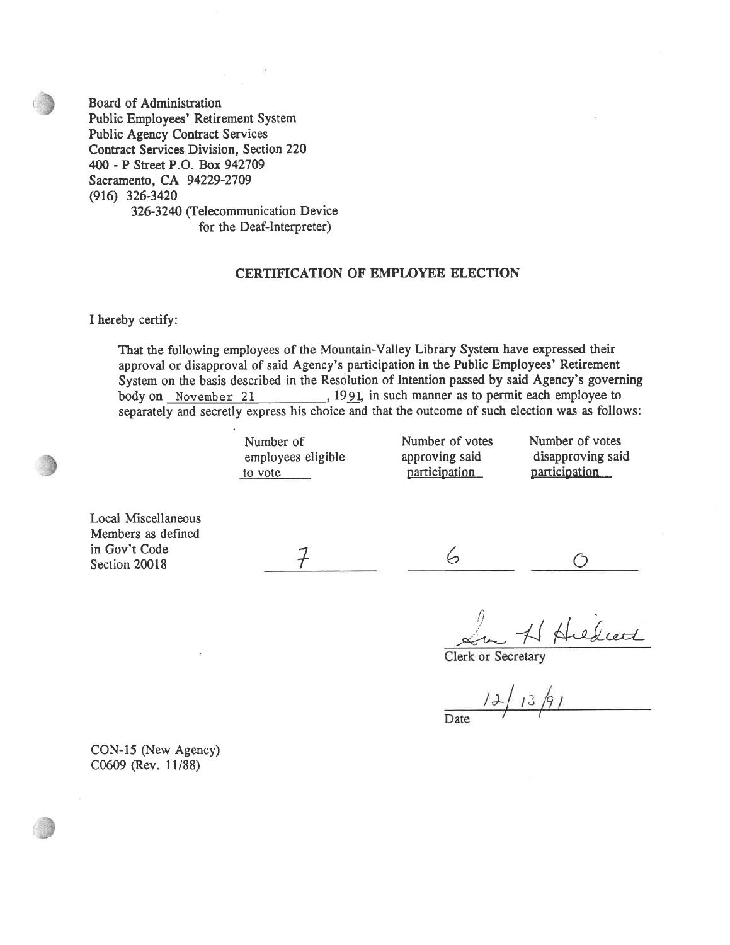Board of Administration Public Employees' Retirement System Public Agency Contract Services Contract Services Division, Section 220 400 - P Street P.O. Box 942709 Sacramento, CA 94229-2709 (916) 326-3420 326-3240 (Telecommunication Device for the Deaf-Interpreter)

## CERTIFICATION OF EMPIOYEE ELECTION

I hereby certify:

That the following employees of the Mountain-Valley Library System have expressed their approval or disapproval of said Agency's participation in the Public Employees' Retirement System on the basis described in the Resolution of Intention passed by said Agency's governing body on November 21 , 1991, in such manner as to permit each employee to separately and secretly express his choice and that the outcome of such election was as follows:

employees eligible approving said disapproving s<br>to vote <u>naticipation</u> and participation

participation

Number of 1992<br>
Number of votes<br>
Number of votes<br>
Mumber of votes<br>
Rumber of votes<br>
Rumber of votes<br>
Rumber of votes<br>
Rumber of votes<br>
Rumber of votes<br>
Rumber of votes<br>
Rumber of votes<br>
Rumber of votes<br>
Rumber of votes<br>
Ru

 $\overline{\bigcirc}$ 

Local Miscellaneous Members as defined in Gov't Code Section 20018

 $\frac{1}{\sqrt{2}}$  ,  $\frac{6}{\sqrt{2}}$ 

In H Hiedward

 $12/13/91$ 

CON-15 (New Agency) C0609 (Rev. 11/88)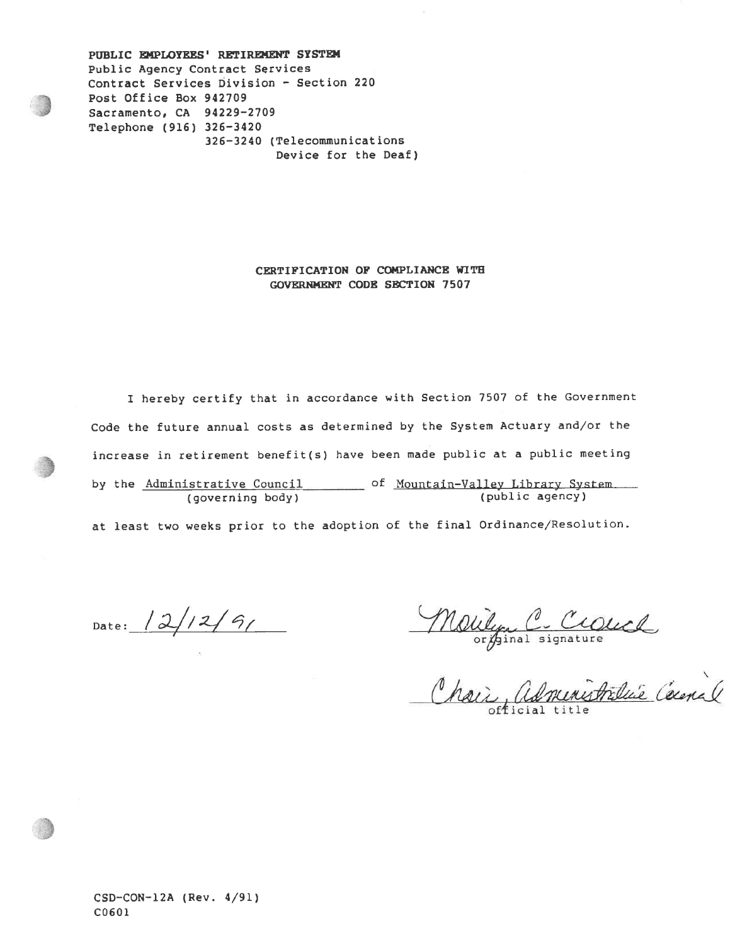PUBLIC EMPLOYEES' RETIREMENT SYSTEM PubIic Agency Contract Services Contract Services Division - Section <sup>220</sup> Post Office Box <sup>912709</sup> Sacramento, CA 94229-2709 Telephone (9I5) 326-3420 326-32 40 ( Telecomnunicat ions Device for the Deaf)

> CERTIFICATION OF COMPLIANCE WITH GOVERNMENT CODE SECTION 7507

I hereby certify that in accordance with Section 7507 of the Government Code the future annual costs as determined by the System Actuary and/or the increase in retirement benefit(s) have been made public at a public meeting by the <u>Administrative Council and Soun Countain-Valley Library System</u> <u>secosito poshore</u> and the <u>indicern form of the second</u> (public agency)<br>(public agency)

at Ieast two weeks prior to the adoption of the final Ordinance/Resolution.

Date:  $12/12/9/$ 

Malilyn C. Crauch

CSD-CON-12A (Rev. 4/91) C0601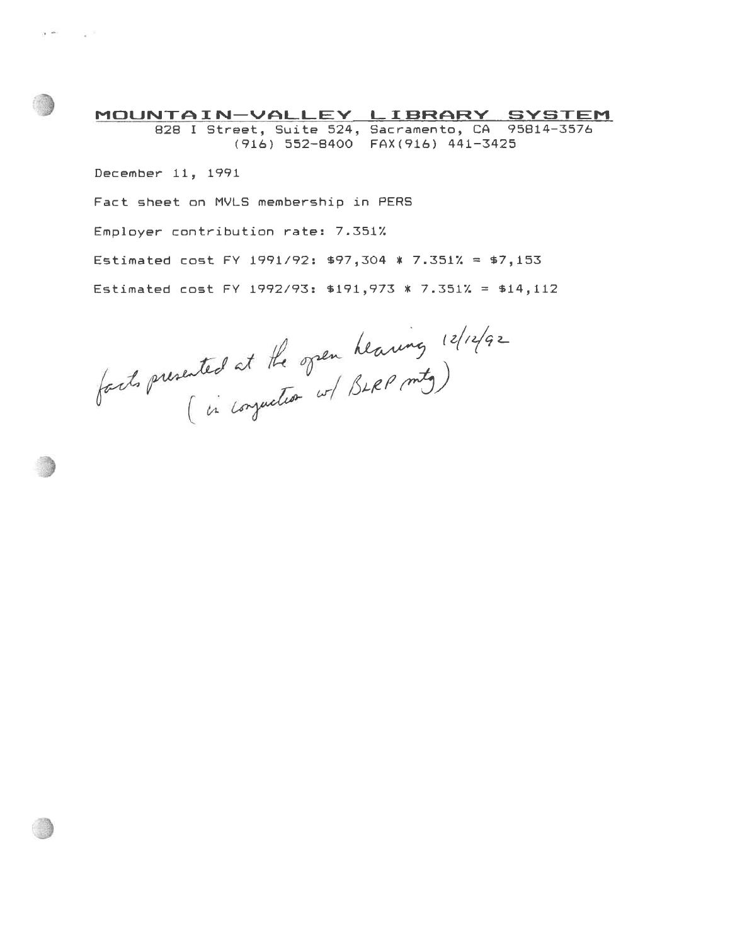MOUNTAIN-VALLEY LIBRARY SYSTEM 828 I Street, Suite 524, Sacramento, CA 95814-3576 ( 916 ) ss2-84OO FAX ( 916 ) 44L-3425

December 11, L99L Fact sheet on MVLS membershio in PERS Employer contribution rate: 7.351% Estimated cost FY 1991/92: \$97,304 \* 7.351% = \$7,153 Estimated cost FY 1992/93: \$191,973 \* 7.351% = \$14,112

 $heaving$   $|2|12|qz$ SLRP mtg

 $\mathbf{r}$  . The set of  $\mathbb{R}$